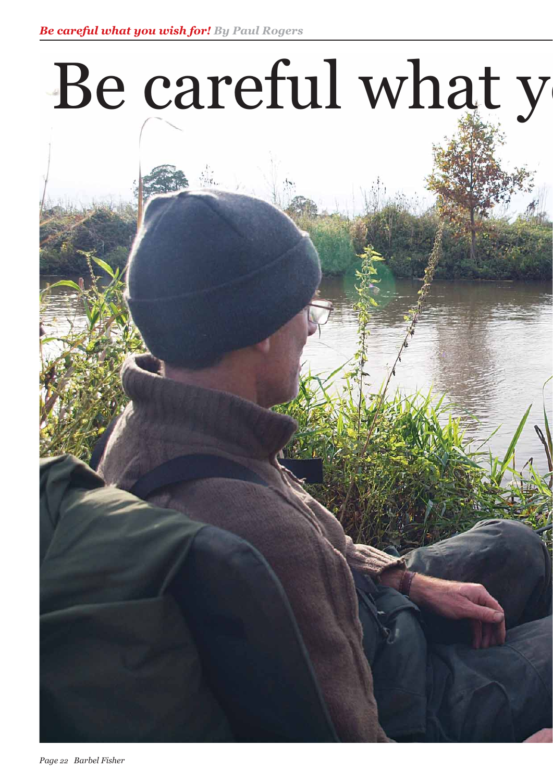# Be careful what y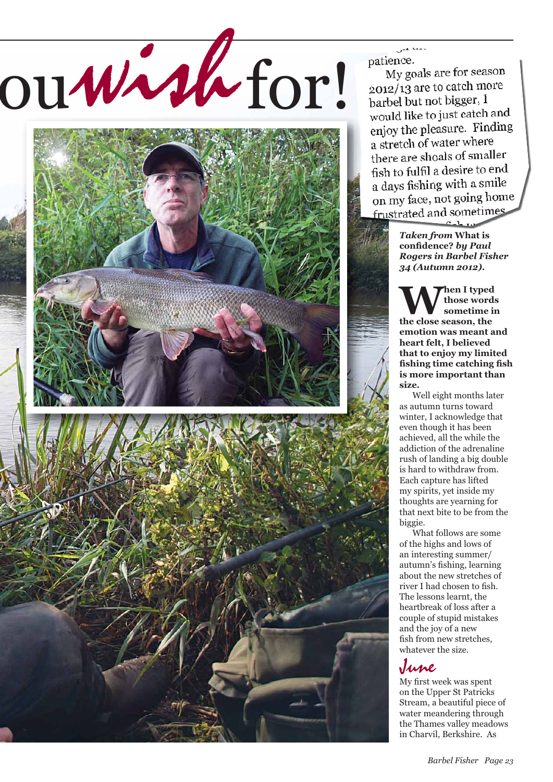# ou wish for!



patience.

My goals are for season  $2012/13$  are to catch more barbel but not bigger, I would like to just catch and enjoy the pleasure. Finding a stretch of water where there are shoals of smaller fish to fulfil a desire to end a days fishing with a smile on my face, not going home frustrated and sometimes

> *Taken from* **What is confi dence?** *by Paul Rogers in Barbel Fisher 34 (Autumn 2012).*

 $C_{\alpha}$  1.

**When I typed the close season, the those words sometime in emotion was meant and heart felt, I believed that to enjoy my limited**  fishing time catching fish **is more important than size.** 

 Well eight months later as autumn turns toward winter, I acknowledge that even though it has been achieved, all the while the addiction of the adrenaline rush of landing a big double is hard to withdraw from. Each capture has lifted my spirits, yet inside my thoughts are yearning for that next bite to be from the biggie.

 What follows are some of the highs and lows of an interesting summer/ autumn's fishing, learning about the new stretches of river I had chosen to fish. The lessons learnt, the heartbreak of loss after a couple of stupid mistakes and the joy of a new fish from new stretches. whatever the size.

# June

My first week was spent on the Upper St Patricks Stream, a beautiful piece of water meandering through the Thames valley meadows in Charvil, Berkshire. As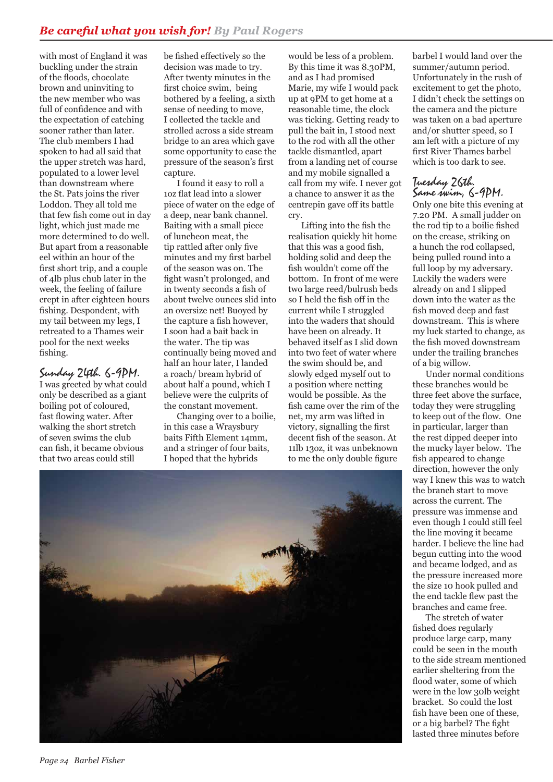with most of England it was buckling under the strain of the floods, chocolate brown and uninviting to the new member who was full of confidence and with the expectation of catching sooner rather than later. The club members I had spoken to had all said that the upper stretch was hard, populated to a lower level than downstream where the St. Pats joins the river Loddon. They all told me that few fish come out in day light, which just made me more determined to do well. But apart from a reasonable eel within an hour of the first short trip, and a couple of 4lb plus chub later in the week, the feeling of failure crept in after eighteen hours fishing. Despondent, with my tail between my legs, I retreated to a Thames weir pool for the next weeks fishing.

# Sunday 24th. 6-9PM.

I was greeted by what could only be described as a giant boiling pot of coloured, fast flowing water. After walking the short stretch of seven swims the club can fish, it became obvious that two areas could still

be fished effectively so the decision was made to try. After twenty minutes in the first choice swim, being bothered by a feeling, a sixth sense of needing to move, I collected the tackle and strolled across a side stream bridge to an area which gave some opportunity to ease the pressure of the season's first capture.

 I found it easy to roll a 1oz flat lead into a slower piece of water on the edge of a deep, near bank channel. Baiting with a small piece of luncheon meat, the tip rattled after only five minutes and my first barbel of the season was on. The fight wasn't prolonged, and in twenty seconds a fish of about twelve ounces slid into an oversize net! Buoyed by the capture a fish however. I soon had a bait back in the water. The tip was continually being moved and half an hour later, I landed a roach/ bream hybrid of about half a pound, which I believe were the culprits of the constant movement.

 Changing over to a boilie, in this case a Wraysbury baits Fifth Element 14mm, and a stringer of four baits, I hoped that the hybrids

would be less of a problem. By this time it was 8.30PM, and as I had promised Marie, my wife I would pack up at 9PM to get home at a reasonable time, the clock was ticking. Getting ready to pull the bait in, I stood next to the rod with all the other tackle dismantled, apart from a landing net of course and my mobile signalled a call from my wife. I never got a chance to answer it as the centrepin gave off its battle cry.

Lifting into the fish the realisation quickly hit home that this was a good fish, holding solid and deep the fish wouldn't come off the bottom. In front of me were two large reed/bulrush beds so I held the fish off in the current while I struggled into the waders that should have been on already. It behaved itself as I slid down into two feet of water where the swim should be, and slowly edged myself out to a position where netting would be possible. As the fish came over the rim of the net, my arm was lifted in victory, signalling the first decent fish of the season. At 11lb 13oz, it was unbeknown to me the only double figure

barbel I would land over the summer/autumn period. Unfortunately in the rush of excitement to get the photo, I didn't check the settings on the camera and the picture was taken on a bad aperture and/or shutter speed, so I am left with a picture of my first River Thames barbel which is too dark to see.

### Tuesday 26th. Same swim, 6-9PM.

Only one bite this evening at 7.20 PM. A small judder on the rod tip to a boilie fished on the crease, striking on a hunch the rod collapsed, being pulled round into a full loop by my adversary. Luckily the waders were already on and I slipped down into the water as the fish moved deep and fast downstream. This is where my luck started to change, as the fish moved downstream under the trailing branches of a big willow.

 Under normal conditions these branches would be three feet above the surface, today they were struggling to keep out of the flow. One in particular, larger than the rest dipped deeper into the mucky layer below. The fish appeared to change direction, however the only way I knew this was to watch the branch start to move across the current. The pressure was immense and even though I could still feel the line moving it became harder. I believe the line had begun cutting into the wood and became lodged, and as the pressure increased more the size 10 hook pulled and the end tackle flew past the branches and came free.

 The stretch of water fished does regularly produce large carp, many could be seen in the mouth to the side stream mentioned earlier sheltering from the flood water, some of which were in the low 30lb weight bracket. So could the lost fish have been one of these, or a big barbel? The fight lasted three minutes before

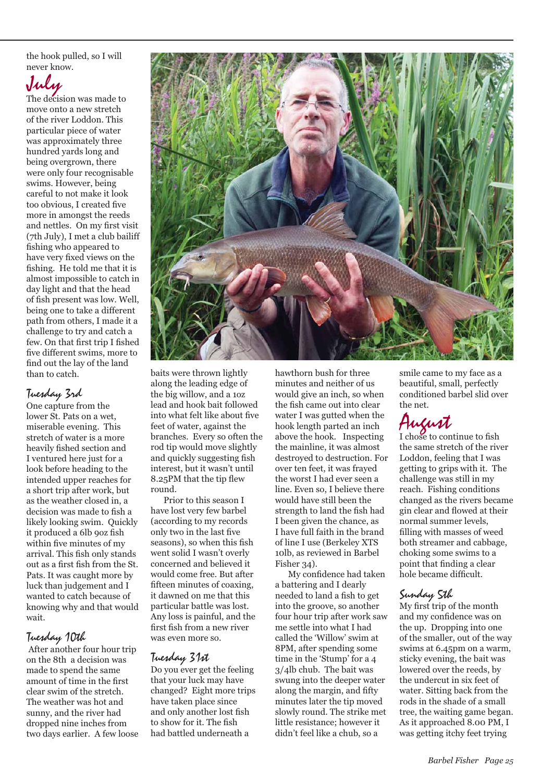the hook pulled, so I will never know.

# July

The decision was made to move onto a new stretch of the river Loddon. This particular piece of water was approximately three hundred yards long and being overgrown, there were only four recognisable swims. However, being careful to not make it look too obvious, I created five more in amongst the reeds and nettles. On my first visit (7th July), I met a club bailiff fishing who appeared to have very fixed views on the fishing. He told me that it is almost impossible to catch in day light and that the head of fish present was low. Well, being one to take a different path from others, I made it a challenge to try and catch a few. On that first trip I fished five different swims, more to find out the lay of the land than to catch.

# Tuesday 3rd

One capture from the lower St. Pats on a wet, miserable evening. This stretch of water is a more heavily fished section and I ventured here just for a look before heading to the intended upper reaches for a short trip after work, but as the weather closed in, a decision was made to fish a likely looking swim. Quickly it produced a 6lb 9oz fish within five minutes of my arrival. This fish only stands out as a first fish from the St. Pats. It was caught more by luck than judgement and I wanted to catch because of knowing why and that would wait.

## Tuesday 10th

 After another four hour trip on the 8th a decision was made to spend the same amount of time in the first clear swim of the stretch. The weather was hot and sunny, and the river had dropped nine inches from two days earlier. A few loose



baits were thrown lightly along the leading edge of the big willow, and a 1oz lead and hook bait followed into what felt like about five feet of water, against the branches. Every so often the rod tip would move slightly and quickly suggesting fish interest, but it wasn't until 8.25PM that the tip flew round.

 Prior to this season I have lost very few barbel (according to my records only two in the last five seasons), so when this fish went solid I wasn't overly concerned and believed it would come free. But after fifteen minutes of coaxing. it dawned on me that this particular battle was lost. Any loss is painful, and the first fish from a new river was even more so.

# Tuesday 31st

Do you ever get the feeling that your luck may have changed? Eight more trips have taken place since and only another lost fish to show for it. The fish had battled underneath a

hawthorn bush for three minutes and neither of us would give an inch, so when the fish came out into clear water I was gutted when the hook length parted an inch above the hook. Inspecting the mainline, it was almost destroyed to destruction. For over ten feet, it was frayed the worst I had ever seen a line. Even so, I believe there would have still been the strength to land the fish had I been given the chance, as I have full faith in the brand of line I use (Berkeley XTS 10lb, as reviewed in Barbel Fisher 34).

My confidence had taken a battering and I dearly needed to land a fish to get into the groove, so another four hour trip after work saw me settle into what I had called the 'Willow' swim at 8PM, after spending some time in the 'Stump' for a 4 3/4lb chub. The bait was swung into the deeper water along the margin, and fifty minutes later the tip moved slowly round. The strike met little resistance; however it didn't feel like a chub, so a

smile came to my face as a beautiful, small, perfectly conditioned barbel slid over the net.

# August<br>I chose to continue to fish

the same stretch of the river Loddon, feeling that I was getting to grips with it. The challenge was still in my reach. Fishing conditions changed as the rivers became gin clear and flowed at their normal summer levels, filling with masses of weed both streamer and cabbage, choking some swims to a point that finding a clear hole became difficult.

# Sunday 5th

My first trip of the month and my confidence was on the up. Dropping into one of the smaller, out of the way swims at 6.45pm on a warm, sticky evening, the bait was lowered over the reeds, by the undercut in six feet of water. Sitting back from the rods in the shade of a small tree, the waiting game began. As it approached 8.00 PM, I was getting itchy feet trying